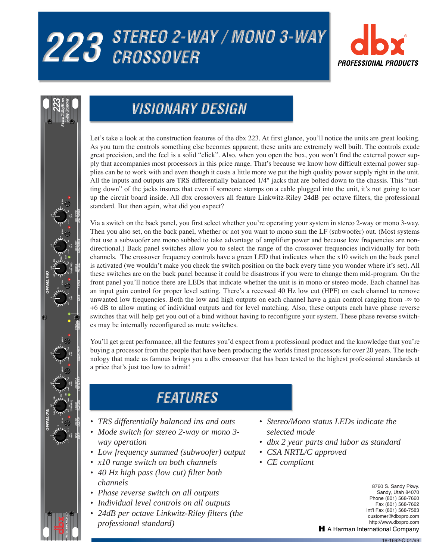# 223 STEREO 2-WAY / MONO 3-WAY





## **VISIONARY DESIGN**

Let's take a look at the construction features of the dbx 223. At first glance, you'll notice the units are great looking. As you turn the controls something else becomes apparent; these units are extremely well built. The controls exude great precision, and the feel is a solid "click". Also, when you open the box, you won't find the external power supply that accompanies most processors in this price range. That's because we know how difficult external power supplies can be to work with and even though it costs a little more we put the high quality power supply right in the unit. All the inputs and outputs are TRS differentially balanced 1/4" jacks that are bolted down to the chassis. This "nutting down" of the jacks insures that even if someone stomps on a cable plugged into the unit, it's not going to tear up the circuit board inside. All dbx crossovers all feature Linkwitz-Riley 24dB per octave filters, the professional standard. But then again, what did you expect?

Via a switch on the back panel, you first select whether you're operating your system in stereo 2-way or mono 3-way. Then you also set, on the back panel, whether or not you want to mono sum the LF (subwoofer) out. (Most systems that use a subwoofer are mono subbed to take advantage of amplifier power and because low frequencies are nondirectional.) Back panel switches allow you to select the range of the crossover frequencies individually for both channels. The crossover frequency controls have a green LED that indicates when the x10 switch on the back panel is activated (we wouldn't make you check the switch position on the back every time you wonder where it's set). All these switches are on the back panel because it could be disastrous if you were to change them mid-program. On the front panel you'll notice there are LEDs that indicate whether the unit is in mono or stereo mode. Each channel has an input gain control for proper level setting. There's a recessed 40 Hz low cut (HPF) on each channel to remove unwanted low frequencies. Both the low and high outputs on each channel have a gain control ranging from  $-\infty$  to +6 dB to allow muting of individual outputs and for level matching. Also, these outputs each have phase reverse switches that will help get you out of a bind without having to reconfigure your system. These phase reverse switches may be internally reconfigured as mute switches.

You'll get great performance, all the features you'd expect from a professional product and the knowledge that you're buying a processor from the people that have been producing the worlds finest processors for over 20 years. The technology that made us famous brings you a dbx crossover that has been tested to the highest professional standards at a price that's just too low to admit!

## **FEATURES**

- *TRS differentially balanced ins and outs*
- *Mode switch for stereo 2-way or mono 3 way operation*
- *Low frequency summed (subwoofer) output*
- *x10 range switch on both channels*
- *40 Hz high pass (low cut) filter both channels*
- *Phase reverse switch on all outputs*
- *Individual level controls on all outputs*
- *24dB per octave Linkwitz-Riley filters (the professional standard)*
- *Stereo/Mono status LEDs indicate the selected mode*
- *dbx 2 year parts and labor as standard*
- *CSA NRTL/C approved*
- *CE compliant*

8760 S. Sandy Pkwy. Sandy, Utah 84070 Phone (801) 568-7660 Fax (801) 568-7662 Int'l Fax (801) 568-7583 customer@dbxpro.com http://www.dbxpro.com H A Harman International Company